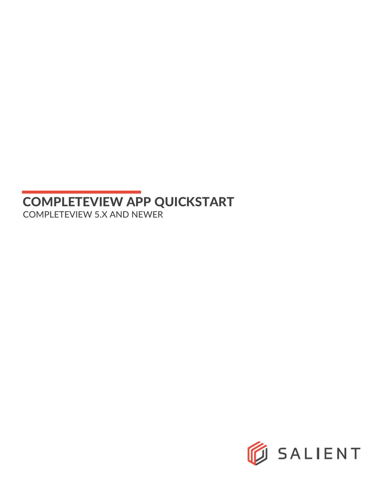## COMPLETEVIEW APP QUICKSTART COMPLETEVIEW 5.X AND NEWER

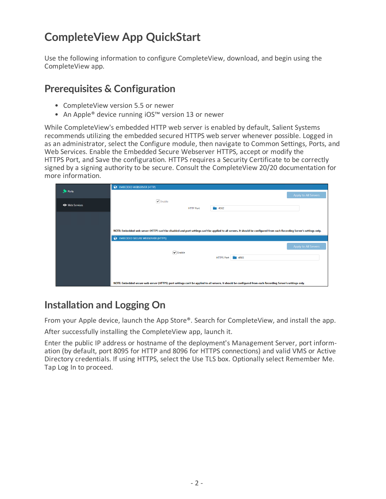## **CompleteView App QuickStart**

Use the following information to configure CompleteView, download, and begin using the CompleteView app.

## **Prerequisites & Configuration**

- CompleteView version 5.5 or newer
- An Apple® device running iOS™ version 13 or newer

While CompleteView's embedded HTTP web server is enabled by default, Salient Systems recommends utilizing the embedded secured HTTPS web server whenever possible. Logged in as an administrator, select the Configure module, then navigate to Common Settings, Ports, and Web Services. Enable the Embedded Secure Webserver HTTPS, accept or modify the HTTPS Port, and Save the configuration. HTTPS requires a Security Certificate to be correctly signed by a signing authority to be secure. Consult the CompleteView 20/20 documentation for more information.

| <b>Streets</b>        | EMBEDDED WEBSERVER (HTTP)                                                                                                                                                 |                      |  |
|-----------------------|---------------------------------------------------------------------------------------------------------------------------------------------------------------------------|----------------------|--|
|                       |                                                                                                                                                                           | Apply to All Servers |  |
| <b>E</b> Web Services | $\sqrt{\ }$ Enable                                                                                                                                                        |                      |  |
|                       | $\blacksquare$ 4502<br><b>HTTP Port</b>                                                                                                                                   |                      |  |
|                       |                                                                                                                                                                           |                      |  |
|                       |                                                                                                                                                                           |                      |  |
|                       | NOTE: Embedded web server (HTTP) can't be disabled and port settings can't be applied to all servers. It should be configured from each Recording Server's settings only. |                      |  |
|                       | EMBEDDED SECURE WEBSERVER (HTTPS)                                                                                                                                         |                      |  |
|                       |                                                                                                                                                                           | Apply to All Servers |  |
|                       | $\sqrt{\frac{1}{2}}$ Enable                                                                                                                                               |                      |  |
|                       | HTTPS Port 4503                                                                                                                                                           |                      |  |
|                       |                                                                                                                                                                           |                      |  |
|                       |                                                                                                                                                                           |                      |  |
|                       | NOTE: Embedded secure web server (HTTPS) port settings can't be applied to all servers. It should be configured from each Recording Server's settings only.               |                      |  |

## **Installation and Logging On**

From your Apple device, launch the App Store®. Search for CompleteView, and install the app.

After successfully installing the CompleteView app, launch it.

Enter the public IP address or hostname of the deployment's Management Server, port information (by default, port 8095 for HTTP and 8096 for HTTPS connections) and valid VMS or Active Directory credentials. If using HTTPS, select the Use TLS box. Optionally select Remember Me. Tap Log In to proceed.